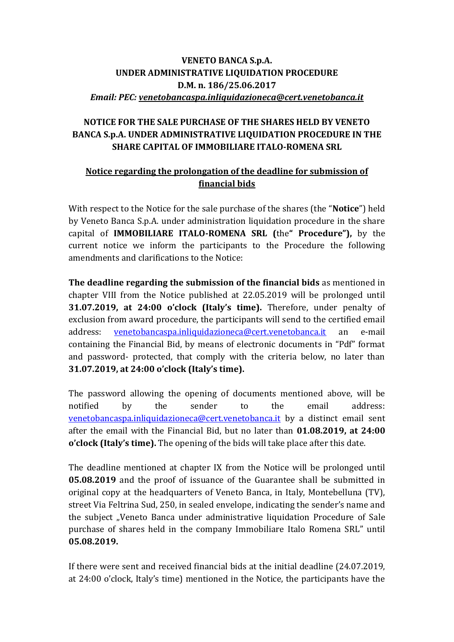## **VENETO BANCA S.p.A. UNDER ADMINISTRATIVE LIQUIDATION PROCEDURE D.M. n. 186/25.06.2017** *Email: PEC: [venetobancaspa.inliquidazioneca@cert.venetobanca.it](mailto:venetobancaspa.inliquidazioneca@cert.venetobanca.it)*

## **NOTICE FOR THE SALE PURCHASE OF THE SHARES HELD BY VENETO BANCA S.p.A. UNDER ADMINISTRATIVE LIQUIDATION PROCEDURE IN THE SHARE CAPITAL OF IMMOBILIARE ITALO-ROMENA SRL**

## **Notice regarding the prolongation of the deadline for submission of financial bids**

With respect to the Notice for the sale purchase of the shares (the "**Notice**") held by Veneto Banca S.p.A. under administration liquidation procedure in the share capital of **IMMOBILIARE ITALO-ROMENA SRL (**the**" Procedure"),** by the current notice we inform the participants to the Procedure the following amendments and clarifications to the Notice:

**The deadline regarding the submission of the financial bids** as mentioned in chapter VIII from the Notice published at 22.05.2019 will be prolonged until **31.07.2019, at 24:00 o'clock (Italy's time).** Therefore, under penalty of exclusion from award procedure, the participants will send to the certified email address: [venetobancaspa.inliquidazioneca@cert.venetobanca.it](mailto:venetobancaspa.inliquidazioneca@cert.venetobanca.it) an e-mail containing the Financial Bid, by means of electronic documents in "Pdf" format and password- protected, that comply with the criteria below, no later than **31.07.2019, at 24:00 o'clock (Italy's time).**

The password allowing the opening of documents mentioned above, will be notified by the sender to the email address: [venetobancaspa.inliquidazioneca@cert.venetobanca.it](mailto:venetobancaspa.inliquidazioneca@cert.venetobanca.it) by a distinct email sent after the email with the Financial Bid, but no later than **01.08.2019, at 24:00 o'clock (Italy's time).** The opening of the bids will take place after this date.

The deadline mentioned at chapter IX from the Notice will be prolonged until **05.08.2019** and the proof of issuance of the Guarantee shall be submitted in original copy at the headquarters of Veneto Banca, in Italy, Montebelluna (TV), street Via Feltrina Sud, 250, in sealed envelope, indicating the sender's name and the subject "Veneto Banca under administrative liquidation Procedure of Sale purchase of shares held in the company Immobiliare Italo Romena SRL" until **05.08.2019.**

If there were sent and received financial bids at the initial deadline (24.07.2019, at 24:00 o'clock, Italy's time) mentioned in the Notice, the participants have the